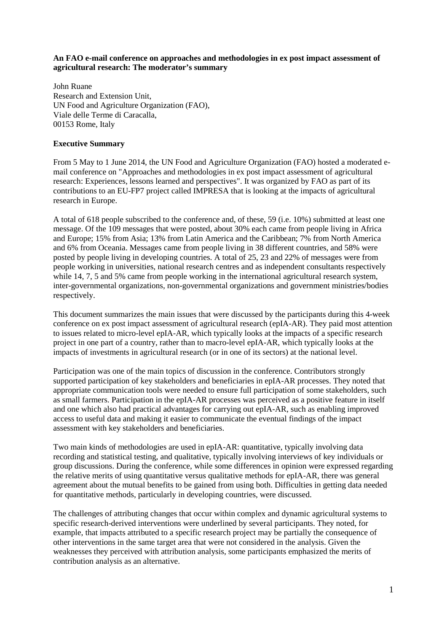### **An FAO e-mail conference on approaches and methodologies in ex post impact assessment of agricultural research: The moderator's summary**

John Ruane Research and Extension Unit, UN Food and Agriculture Organization (FAO), Viale delle Terme di Caracalla, 00153 Rome, Italy

### **Executive Summary**

From 5 May to 1 June 2014, the UN Food and Agriculture Organization (FAO) hosted a moderated email conference on "Approaches and methodologies in ex post impact assessment of agricultural research: Experiences, lessons learned and perspectives". It was organized by FAO as part of its contributions to an EU-FP7 project called IMPRESA that is looking at the impacts of agricultural research in Europe.

A total of 618 people subscribed to the conference and, of these, 59 (i.e. 10%) submitted at least one message. Of the 109 messages that were posted, about 30% each came from people living in Africa and Europe; 15% from Asia; 13% from Latin America and the Caribbean; 7% from North America and 6% from Oceania. Messages came from people living in 38 different countries, and 58% were posted by people living in developing countries. A total of 25, 23 and 22% of messages were from people working in universities, national research centres and as independent consultants respectively while 14, 7, 5 and 5% came from people working in the international agricultural research system, inter-governmental organizations, non-governmental organizations and government ministries/bodies respectively.

This document summarizes the main issues that were discussed by the participants during this 4-week conference on ex post impact assessment of agricultural research (epIA-AR). They paid most attention to issues related to micro-level epIA-AR, which typically looks at the impacts of a specific research project in one part of a country, rather than to macro-level epIA-AR, which typically looks at the impacts of investments in agricultural research (or in one of its sectors) at the national level.

Participation was one of the main topics of discussion in the conference. Contributors strongly supported participation of key stakeholders and beneficiaries in epIA-AR processes. They noted that appropriate communication tools were needed to ensure full participation of some stakeholders, such as small farmers. Participation in the epIA-AR processes was perceived as a positive feature in itself and one which also had practical advantages for carrying out epIA-AR, such as enabling improved access to useful data and making it easier to communicate the eventual findings of the impact assessment with key stakeholders and beneficiaries.

Two main kinds of methodologies are used in epIA-AR: quantitative, typically involving data recording and statistical testing, and qualitative, typically involving interviews of key individuals or group discussions. During the conference, while some differences in opinion were expressed regarding the relative merits of using quantitative versus qualitative methods for epIA-AR, there was general agreement about the mutual benefits to be gained from using both. Difficulties in getting data needed for quantitative methods, particularly in developing countries, were discussed.

The challenges of attributing changes that occur within complex and dynamic agricultural systems to specific research-derived interventions were underlined by several participants. They noted, for example, that impacts attributed to a specific research project may be partially the consequence of other interventions in the same target area that were not considered in the analysis. Given the weaknesses they perceived with attribution analysis, some participants emphasized the merits of contribution analysis as an alternative.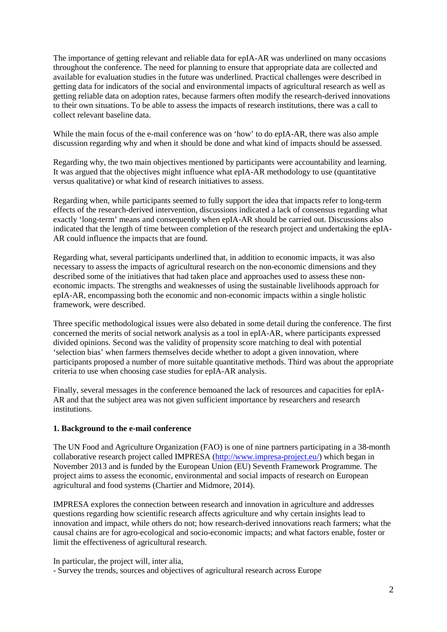The importance of getting relevant and reliable data for epIA-AR was underlined on many occasions throughout the conference. The need for planning to ensure that appropriate data are collected and available for evaluation studies in the future was underlined. Practical challenges were described in getting data for indicators of the social and environmental impacts of agricultural research as well as getting reliable data on adoption rates, because farmers often modify the research-derived innovations to their own situations. To be able to assess the impacts of research institutions, there was a call to collect relevant baseline data.

While the main focus of the e-mail conference was on 'how' to do epIA-AR, there was also ample discussion regarding why and when it should be done and what kind of impacts should be assessed.

Regarding why, the two main objectives mentioned by participants were accountability and learning. It was argued that the objectives might influence what epIA-AR methodology to use (quantitative versus qualitative) or what kind of research initiatives to assess.

Regarding when, while participants seemed to fully support the idea that impacts refer to long-term effects of the research-derived intervention, discussions indicated a lack of consensus regarding what exactly 'long-term' means and consequently when epIA-AR should be carried out. Discussions also indicated that the length of time between completion of the research project and undertaking the epIA-AR could influence the impacts that are found.

Regarding what, several participants underlined that, in addition to economic impacts, it was also necessary to assess the impacts of agricultural research on the non-economic dimensions and they described some of the initiatives that had taken place and approaches used to assess these noneconomic impacts. The strengths and weaknesses of using the sustainable livelihoods approach for epIA-AR, encompassing both the economic and non-economic impacts within a single holistic framework, were described.

Three specific methodological issues were also debated in some detail during the conference. The first concerned the merits of social network analysis as a tool in epIA-AR, where participants expressed divided opinions. Second was the validity of propensity score matching to deal with potential 'selection bias' when farmers themselves decide whether to adopt a given innovation, where participants proposed a number of more suitable quantitative methods. Third was about the appropriate criteria to use when choosing case studies for epIA-AR analysis.

Finally, several messages in the conference bemoaned the lack of resources and capacities for epIA-AR and that the subject area was not given sufficient importance by researchers and research institutions.

#### **1. Background to the e-mail conference**

The UN Food and Agriculture Organization (FAO) is one of nine partners participating in a 38-month collaborative research project called IMPRESA [\(http://www.impresa-project.eu/\)](http://www.impresa-project.eu/) which began in November 2013 and is funded by the European Union (EU) Seventh Framework Programme. The project aims to assess the economic, environmental and social impacts of research on European agricultural and food systems (Chartier and Midmore, 2014).

IMPRESA explores the connection between research and innovation in agriculture and addresses questions regarding how scientific research affects agriculture and why certain insights lead to innovation and impact, while others do not; how research-derived innovations reach farmers; what the causal chains are for agro-ecological and socio-economic impacts; and what factors enable, foster or limit the effectiveness of agricultural research.

In particular, the project will, inter alia,

- Survey the trends, sources and objectives of agricultural research across Europe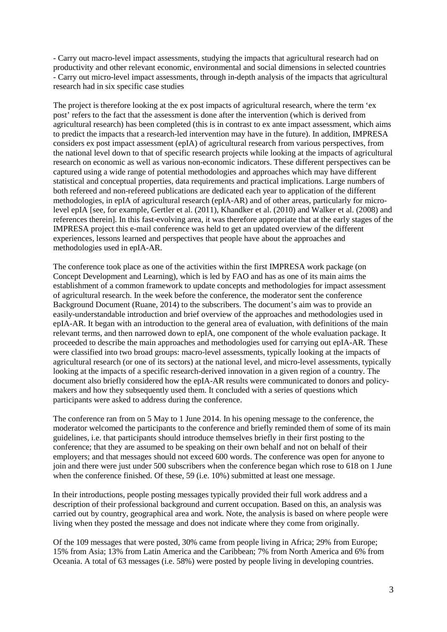- Carry out macro-level impact assessments, studying the impacts that agricultural research had on productivity and other relevant economic, environmental and social dimensions in selected countries - Carry out micro-level impact assessments, through in-depth analysis of the impacts that agricultural research had in six specific case studies

The project is therefore looking at the ex post impacts of agricultural research, where the term 'ex post' refers to the fact that the assessment is done after the intervention (which is derived from agricultural research) has been completed (this is in contrast to ex ante impact assessment, which aims to predict the impacts that a research-led intervention may have in the future). In addition, IMPRESA considers ex post impact assessment (epIA) of agricultural research from various perspectives, from the national level down to that of specific research projects while looking at the impacts of agricultural research on economic as well as various non-economic indicators. These different perspectives can be captured using a wide range of potential methodologies and approaches which may have different statistical and conceptual properties, data requirements and practical implications. Large numbers of both refereed and non-refereed publications are dedicated each year to application of the different methodologies, in epIA of agricultural research (epIA-AR) and of other areas, particularly for microlevel epIA [see, for example, Gertler et al. (2011), Khandker et al. (2010) and Walker et al. (2008) and references therein]. In this fast-evolving area, it was therefore appropriate that at the early stages of the IMPRESA project this e-mail conference was held to get an updated overview of the different experiences, lessons learned and perspectives that people have about the approaches and methodologies used in epIA-AR.

The conference took place as one of the activities within the first IMPRESA work package (on Concept Development and Learning), which is led by FAO and has as one of its main aims the establishment of a common framework to update concepts and methodologies for impact assessment of agricultural research. In the week before the conference, the moderator sent the conference Background Document (Ruane, 2014) to the subscribers. The document's aim was to provide an easily-understandable introduction and brief overview of the approaches and methodologies used in epIA-AR. It began with an introduction to the general area of evaluation, with definitions of the main relevant terms, and then narrowed down to epIA, one component of the whole evaluation package. It proceeded to describe the main approaches and methodologies used for carrying out epIA-AR. These were classified into two broad groups: macro-level assessments, typically looking at the impacts of agricultural research (or one of its sectors) at the national level, and micro-level assessments, typically looking at the impacts of a specific research-derived innovation in a given region of a country. The document also briefly considered how the epIA-AR results were communicated to donors and policymakers and how they subsequently used them. It concluded with a series of questions which participants were asked to address during the conference.

The conference ran from on 5 May to 1 June 2014. In his opening message to the conference, the moderator welcomed the participants to the conference and briefly reminded them of some of its main guidelines, i.e. that participants should introduce themselves briefly in their first posting to the conference; that they are assumed to be speaking on their own behalf and not on behalf of their employers; and that messages should not exceed 600 words. The conference was open for anyone to join and there were just under 500 subscribers when the conference began which rose to 618 on 1 June when the conference finished. Of these, 59 (i.e. 10%) submitted at least one message.

In their introductions, people posting messages typically provided their full work address and a description of their professional background and current occupation. Based on this, an analysis was carried out by country, geographical area and work. Note, the analysis is based on where people were living when they posted the message and does not indicate where they come from originally.

Of the 109 messages that were posted, 30% came from people living in Africa; 29% from Europe; 15% from Asia; 13% from Latin America and the Caribbean; 7% from North America and 6% from Oceania. A total of 63 messages (i.e. 58%) were posted by people living in developing countries.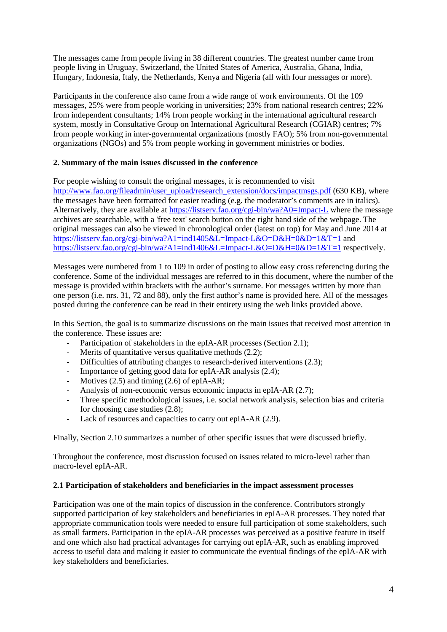The messages came from people living in 38 different countries. The greatest number came from people living in Uruguay, Switzerland, the United States of America, Australia, Ghana, India, Hungary, Indonesia, Italy, the Netherlands, Kenya and Nigeria (all with four messages or more).

Participants in the conference also came from a wide range of work environments. Of the 109 messages, 25% were from people working in universities; 23% from national research centres; 22% from independent consultants; 14% from people working in the international agricultural research system, mostly in Consultative Group on International Agricultural Research (CGIAR) centres; 7% from people working in inter-governmental organizations (mostly FAO); 5% from non-governmental organizations (NGOs) and 5% from people working in government ministries or bodies.

# **2. Summary of the main issues discussed in the conference**

For people wishing to consult the original messages, it is recommended to visit [http://www.fao.org/fileadmin/user\\_upload/research\\_extension/docs/impactmsgs.pdf](http://www.fao.org/fileadmin/user_upload/research_extension/docs/impactmsgs.pdf) (630 KB), where the messages have been formatted for easier reading (e.g. the moderator's comments are in italics). Alternatively, they are available at <https://listserv.fao.org/cgi-bin/wa?A0=Impact-L> where the message archives are searchable, with a 'free text' search button on the right hand side of the webpage. The original messages can also be viewed in chronological order (latest on top) for May and June 2014 at <https://listserv.fao.org/cgi-bin/wa?A1=ind1405&L=Impact-L&O=D&H=0&D=1&T=1> and <https://listserv.fao.org/cgi-bin/wa?A1=ind1406&L=Impact-L&O=D&H=0&D=1&T=1> respectively.

Messages were numbered from 1 to 109 in order of posting to allow easy cross referencing during the conference. Some of the individual messages are referred to in this document, where the number of the message is provided within brackets with the author's surname. For messages written by more than one person (i.e. nrs. 31, 72 and 88), only the first author's name is provided here. All of the messages posted during the conference can be read in their entirety using the web links provided above.

In this Section, the goal is to summarize discussions on the main issues that received most attention in the conference. These issues are:

- Participation of stakeholders in the epIA-AR processes (Section 2.1);
- Merits of quantitative versus qualitative methods  $(2.2)$ ;
- Difficulties of attributing changes to research-derived interventions (2.3);
- Importance of getting good data for epIA-AR analysis  $(2.4)$ ;
- Motives (2.5) and timing (2.6) of epIA-AR;
- Analysis of non-economic versus economic impacts in epIA-AR (2.7);
- Three specific methodological issues, i.e. social network analysis, selection bias and criteria for choosing case studies (2.8);
- Lack of resources and capacities to carry out epIA-AR (2.9).

Finally, Section 2.10 summarizes a number of other specific issues that were discussed briefly.

Throughout the conference, most discussion focused on issues related to micro-level rather than macro-level epIA-AR.

# **2.1 Participation of stakeholders and beneficiaries in the impact assessment processes**

Participation was one of the main topics of discussion in the conference. Contributors strongly supported participation of key stakeholders and beneficiaries in epIA-AR processes. They noted that appropriate communication tools were needed to ensure full participation of some stakeholders, such as small farmers. Participation in the epIA-AR processes was perceived as a positive feature in itself and one which also had practical advantages for carrying out epIA-AR, such as enabling improved access to useful data and making it easier to communicate the eventual findings of the epIA-AR with key stakeholders and beneficiaries.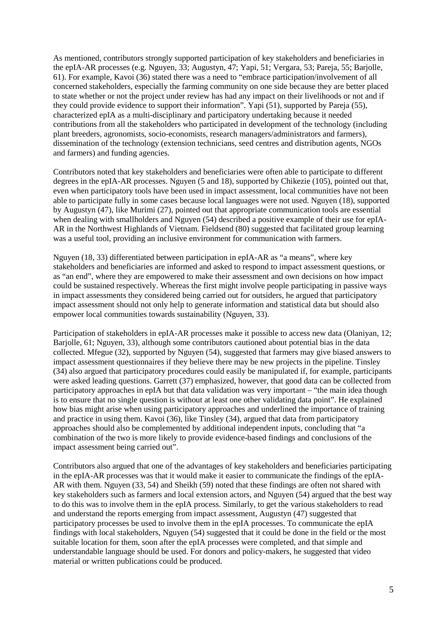As mentioned, contributors strongly supported participation of key stakeholders and beneficiaries in the epIA-AR processes (e.g. Nguyen, 33; Augustyn, 47; Yapi, 51; Vergara, 53; Pareja, 55; Barjolle, 61). For example, Kavoi (36) stated there was a need to "embrace participation/involvement of all concerned stakeholders, especially the farming community on one side because they are better placed to state whether or not the project under review has had any impact on their livelihoods or not and if they could provide evidence to support their information". Yapi (51), supported by Pareja (55), characterized epIA as a multi-disciplinary and participatory undertaking because it needed contributions from all the stakeholders who participated in development of the technology (including plant breeders, agronomists, socio-economists, research managers/administrators and farmers), dissemination of the technology (extension technicians, seed centres and distribution agents, NGOs and farmers) and funding agencies.

Contributors noted that key stakeholders and beneficiaries were often able to participate to different degrees in the epIA-AR processes. Nguyen (5 and 18), supported by Chikezie (105), pointed out that, even when participatory tools have been used in impact assessment, local communities have not been able to participate fully in some cases because local languages were not used. Nguyen (18), supported by Augustyn (47), like Murimi (27), pointed out that appropriate communication tools are essential when dealing with smallholders and Nguyen (54) described a positive example of their use for epIA-AR in the Northwest Highlands of Vietnam. Fieldsend (80) suggested that facilitated group learning was a useful tool, providing an inclusive environment for communication with farmers.

Nguyen (18, 33) differentiated between participation in epIA-AR as "a means", where key stakeholders and beneficiaries are informed and asked to respond to impact assessment questions, or as "an end", where they are empowered to make their assessment and own decisions on how impact could be sustained respectively. Whereas the first might involve people participating in passive ways in impact assessments they considered being carried out for outsiders, he argued that participatory impact assessment should not only help to generate information and statistical data but should also empower local communities towards sustainability (Nguyen, 33).

Participation of stakeholders in epIA-AR processes make it possible to access new data (Olaniyan, 12; Barjolle, 61; Nguyen, 33), although some contributors cautioned about potential bias in the data collected. Mfegue (32), supported by Nguyen (54), suggested that farmers may give biased answers to impact assessment questionnaires if they believe there may be new projects in the pipeline. Tinsley (34) also argued that participatory procedures could easily be manipulated if, for example, participants were asked leading questions. Garrett (37) emphasized, however, that good data can be collected from participatory approaches in epIA but that data validation was very important – "the main idea though is to ensure that no single question is without at least one other validating data point". He explained how bias might arise when using participatory approaches and underlined the importance of training and practice in using them. Kavoi (36), like Tinsley (34), argued that data from participatory approaches should also be complemented by additional independent inputs, concluding that "a combination of the two is more likely to provide evidence-based findings and conclusions of the impact assessment being carried out".

Contributors also argued that one of the advantages of key stakeholders and beneficiaries participating in the epIA-AR processes was that it would make it easier to communicate the findings of the epIA-AR with them. Nguyen (33, 54) and Sheikh (59) noted that these findings are often not shared with key stakeholders such as farmers and local extension actors, and Nguyen (54) argued that the best way to do this was to involve them in the epIA process. Similarly, to get the various stakeholders to read and understand the reports emerging from impact assessment, Augustyn (47) suggested that participatory processes be used to involve them in the epIA processes. To communicate the epIA findings with local stakeholders, Nguyen (54) suggested that it could be done in the field or the most suitable location for them, soon after the epIA processes were completed, and that simple and understandable language should be used. For donors and policy-makers, he suggested that video material or written publications could be produced.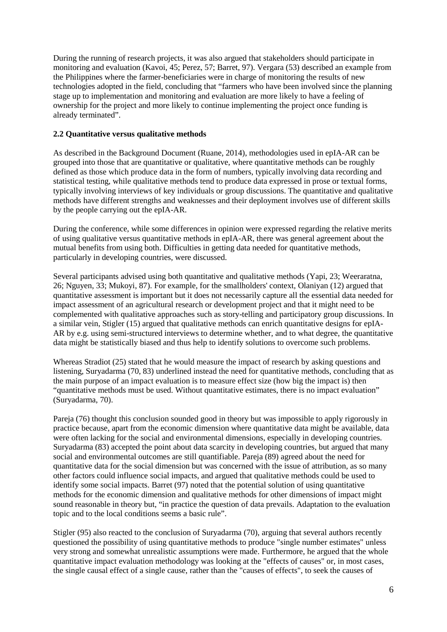During the running of research projects, it was also argued that stakeholders should participate in monitoring and evaluation (Kavoi, 45; Perez, 57; Barret, 97). Vergara (53) described an example from the Philippines where the farmer-beneficiaries were in charge of monitoring the results of new technologies adopted in the field, concluding that "farmers who have been involved since the planning stage up to implementation and monitoring and evaluation are more likely to have a feeling of ownership for the project and more likely to continue implementing the project once funding is already terminated".

## **2.2 Quantitative versus qualitative methods**

As described in the Background Document (Ruane, 2014), methodologies used in epIA-AR can be grouped into those that are quantitative or qualitative, where quantitative methods can be roughly defined as those which produce data in the form of numbers, typically involving data recording and statistical testing, while qualitative methods tend to produce data expressed in prose or textual forms, typically involving interviews of key individuals or group discussions. The quantitative and qualitative methods have different strengths and weaknesses and their deployment involves use of different skills by the people carrying out the epIA-AR.

During the conference, while some differences in opinion were expressed regarding the relative merits of using qualitative versus quantitative methods in epIA-AR, there was general agreement about the mutual benefits from using both. Difficulties in getting data needed for quantitative methods, particularly in developing countries, were discussed.

Several participants advised using both quantitative and qualitative methods (Yapi, 23; Weeraratna, 26; Nguyen, 33; Mukoyi, 87). For example, for the smallholders' context, Olaniyan (12) argued that quantitative assessment is important but it does not necessarily capture all the essential data needed for impact assessment of an agricultural research or development project and that it might need to be complemented with qualitative approaches such as story-telling and participatory group discussions. In a similar vein, Stigler (15) argued that qualitative methods can enrich quantitative designs for epIA-AR by e.g. using semi-structured interviews to determine whether, and to what degree, the quantitative data might be statistically biased and thus help to identify solutions to overcome such problems.

Whereas Stradiot (25) stated that he would measure the impact of research by asking questions and listening, Suryadarma (70, 83) underlined instead the need for quantitative methods, concluding that as the main purpose of an impact evaluation is to measure effect size (how big the impact is) then "quantitative methods must be used. Without quantitative estimates, there is no impact evaluation" (Suryadarma, 70).

Pareja (76) thought this conclusion sounded good in theory but was impossible to apply rigorously in practice because, apart from the economic dimension where quantitative data might be available, data were often lacking for the social and environmental dimensions, especially in developing countries. Suryadarma (83) accepted the point about data scarcity in developing countries, but argued that many social and environmental outcomes are still quantifiable. Pareja (89) agreed about the need for quantitative data for the social dimension but was concerned with the issue of attribution, as so many other factors could influence social impacts, and argued that qualitative methods could be used to identify some social impacts. Barret (97) noted that the potential solution of using quantitative methods for the economic dimension and qualitative methods for other dimensions of impact might sound reasonable in theory but, "in practice the question of data prevails. Adaptation to the evaluation topic and to the local conditions seems a basic rule".

Stigler (95) also reacted to the conclusion of Suryadarma (70), arguing that several authors recently questioned the possibility of using quantitative methods to produce "single number estimates" unless very strong and somewhat unrealistic assumptions were made. Furthermore, he argued that the whole quantitative impact evaluation methodology was looking at the "effects of causes" or, in most cases, the single causal effect of a single cause, rather than the "causes of effects", to seek the causes of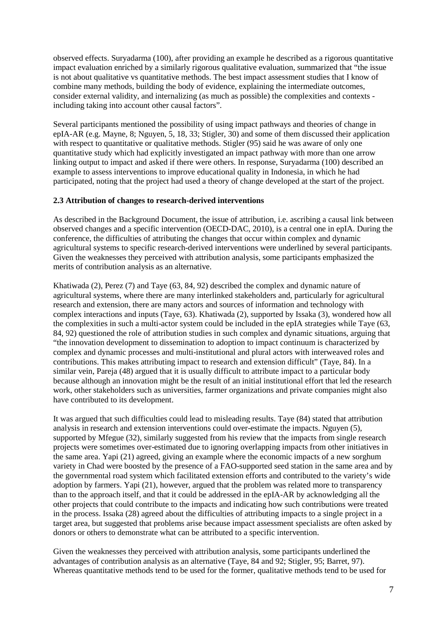observed effects. Suryadarma (100), after providing an example he described as a rigorous quantitative impact evaluation enriched by a similarly rigorous qualitative evaluation, summarized that "the issue is not about qualitative vs quantitative methods. The best impact assessment studies that I know of combine many methods, building the body of evidence, explaining the intermediate outcomes, consider external validity, and internalizing (as much as possible) the complexities and contexts including taking into account other causal factors".

Several participants mentioned the possibility of using impact pathways and theories of change in epIA-AR (e.g. Mayne, 8; Nguyen, 5, 18, 33; Stigler, 30) and some of them discussed their application with respect to quantitative or qualitative methods. Stigler (95) said he was aware of only one quantitative study which had explicitly investigated an impact pathway with more than one arrow linking output to impact and asked if there were others. In response, Suryadarma (100) described an example to assess interventions to improve educational quality in Indonesia, in which he had participated, noting that the project had used a theory of change developed at the start of the project.

## **2.3 Attribution of changes to research-derived interventions**

As described in the Background Document, the issue of attribution, i.e. ascribing a causal link between observed changes and a specific intervention (OECD-DAC, 2010), is a central one in epIA. During the conference, the difficulties of attributing the changes that occur within complex and dynamic agricultural systems to specific research-derived interventions were underlined by several participants. Given the weaknesses they perceived with attribution analysis, some participants emphasized the merits of contribution analysis as an alternative.

Khatiwada (2), Perez (7) and Taye (63, 84, 92) described the complex and dynamic nature of agricultural systems, where there are many interlinked stakeholders and, particularly for agricultural research and extension, there are many actors and sources of information and technology with complex interactions and inputs (Taye, 63). Khatiwada (2), supported by Issaka (3), wondered how all the complexities in such a multi-actor system could be included in the epIA strategies while Taye (63, 84, 92) questioned the role of attribution studies in such complex and dynamic situations, arguing that "the innovation development to dissemination to adoption to impact continuum is characterized by complex and dynamic processes and multi-institutional and plural actors with interweaved roles and contributions. This makes attributing impact to research and extension difficult" (Taye, 84). In a similar vein, Pareja (48) argued that it is usually difficult to attribute impact to a particular body because although an innovation might be the result of an initial institutional effort that led the research work, other stakeholders such as universities, farmer organizations and private companies might also have contributed to its development.

It was argued that such difficulties could lead to misleading results. Taye (84) stated that attribution analysis in research and extension interventions could over-estimate the impacts. Nguyen (5), supported by Mfegue (32), similarly suggested from his review that the impacts from single research projects were sometimes over-estimated due to ignoring overlapping impacts from other initiatives in the same area. Yapi (21) agreed, giving an example where the economic impacts of a new sorghum variety in Chad were boosted by the presence of a FAO-supported seed station in the same area and by the governmental road system which facilitated extension efforts and contributed to the variety's wide adoption by farmers. Yapi (21), however, argued that the problem was related more to transparency than to the approach itself, and that it could be addressed in the epIA-AR by acknowledging all the other projects that could contribute to the impacts and indicating how such contributions were treated in the process. Issaka (28) agreed about the difficulties of attributing impacts to a single project in a target area, but suggested that problems arise because impact assessment specialists are often asked by donors or others to demonstrate what can be attributed to a specific intervention.

Given the weaknesses they perceived with attribution analysis, some participants underlined the advantages of contribution analysis as an alternative (Taye, 84 and 92; Stigler, 95; Barret, 97). Whereas quantitative methods tend to be used for the former, qualitative methods tend to be used for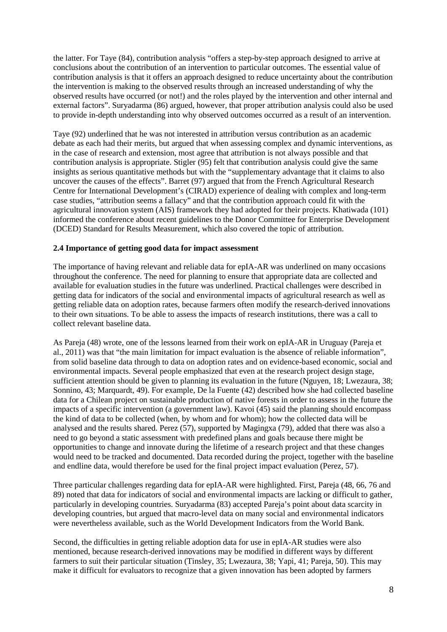the latter. For Taye (84), contribution analysis "offers a step-by-step approach designed to arrive at conclusions about the contribution of an intervention to particular outcomes. The essential value of contribution analysis is that it offers an approach designed to reduce uncertainty about the contribution the intervention is making to the observed results through an increased understanding of why the observed results have occurred (or not!) and the roles played by the intervention and other internal and external factors". Suryadarma (86) argued, however, that proper attribution analysis could also be used to provide in-depth understanding into why observed outcomes occurred as a result of an intervention.

Taye (92) underlined that he was not interested in attribution versus contribution as an academic debate as each had their merits, but argued that when assessing complex and dynamic interventions, as in the case of research and extension, most agree that attribution is not always possible and that contribution analysis is appropriate. Stigler (95) felt that contribution analysis could give the same insights as serious quantitative methods but with the "supplementary advantage that it claims to also uncover the causes of the effects". Barret (97) argued that from the French Agricultural Research Centre for International Development's (CIRAD) experience of dealing with complex and long-term case studies, "attribution seems a fallacy" and that the contribution approach could fit with the agricultural innovation system (AIS) framework they had adopted for their projects. Khatiwada (101) informed the conference about recent guidelines to the Donor Committee for Enterprise Development (DCED) Standard for Results Measurement, which also covered the topic of attribution.

#### **2.4 Importance of getting good data for impact assessment**

The importance of having relevant and reliable data for epIA-AR was underlined on many occasions throughout the conference. The need for planning to ensure that appropriate data are collected and available for evaluation studies in the future was underlined. Practical challenges were described in getting data for indicators of the social and environmental impacts of agricultural research as well as getting reliable data on adoption rates, because farmers often modify the research-derived innovations to their own situations. To be able to assess the impacts of research institutions, there was a call to collect relevant baseline data.

As Pareja (48) wrote, one of the lessons learned from their work on epIA-AR in Uruguay (Pareja et al., 2011) was that "the main limitation for impact evaluation is the absence of reliable information", from solid baseline data through to data on adoption rates and on evidence-based economic, social and environmental impacts. Several people emphasized that even at the research project design stage, sufficient attention should be given to planning its evaluation in the future (Nguyen, 18; Lwezaura, 38; Sonnino, 43; Marquardt, 49). For example, De la Fuente (42) described how she had collected baseline data for a Chilean project on sustainable production of native forests in order to assess in the future the impacts of a specific intervention (a government law). Kavoi (45) said the planning should encompass the kind of data to be collected (when, by whom and for whom); how the collected data will be analysed and the results shared. Perez (57), supported by Magingxa (79), added that there was also a need to go beyond a static assessment with predefined plans and goals because there might be opportunities to change and innovate during the lifetime of a research project and that these changes would need to be tracked and documented. Data recorded during the project, together with the baseline and endline data, would therefore be used for the final project impact evaluation (Perez, 57).

Three particular challenges regarding data for epIA-AR were highlighted. First, Pareja (48, 66, 76 and 89) noted that data for indicators of social and environmental impacts are lacking or difficult to gather, particularly in developing countries. Suryadarma (83) accepted Pareja's point about data scarcity in developing countries, but argued that macro-level data on many social and environmental indicators were nevertheless available, such as the World Development Indicators from the World Bank.

Second, the difficulties in getting reliable adoption data for use in epIA-AR studies were also mentioned, because research-derived innovations may be modified in different ways by different farmers to suit their particular situation (Tinsley, 35; Lwezaura, 38; Yapi, 41; Pareja, 50). This may make it difficult for evaluators to recognize that a given innovation has been adopted by farmers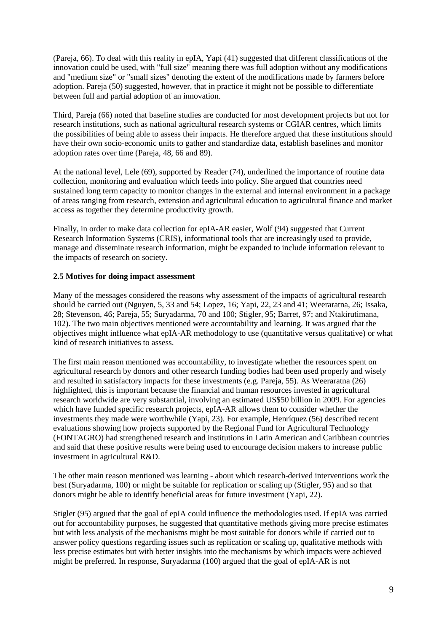(Pareja, 66). To deal with this reality in epIA, Yapi (41) suggested that different classifications of the innovation could be used, with "full size" meaning there was full adoption without any modifications and "medium size" or "small sizes" denoting the extent of the modifications made by farmers before adoption. Pareja (50) suggested, however, that in practice it might not be possible to differentiate between full and partial adoption of an innovation.

Third, Pareja (66) noted that baseline studies are conducted for most development projects but not for research institutions, such as national agricultural research systems or CGIAR centres, which limits the possibilities of being able to assess their impacts. He therefore argued that these institutions should have their own socio-economic units to gather and standardize data, establish baselines and monitor adoption rates over time (Pareja, 48, 66 and 89).

At the national level, Lele (69), supported by Reader (74), underlined the importance of routine data collection, monitoring and evaluation which feeds into policy. She argued that countries need sustained long term capacity to monitor changes in the external and internal environment in a package of areas ranging from research, extension and agricultural education to agricultural finance and market access as together they determine productivity growth.

Finally, in order to make data collection for epIA-AR easier, Wolf (94) suggested that Current Research Information Systems (CRIS), informational tools that are increasingly used to provide, manage and disseminate research information, might be expanded to include information relevant to the impacts of research on society.

# **2.5 Motives for doing impact assessment**

Many of the messages considered the reasons why assessment of the impacts of agricultural research should be carried out (Nguyen, 5, 33 and 54; Lopez, 16; Yapi, 22, 23 and 41; Weeraratna, 26; Issaka, 28; Stevenson, 46; Pareja, 55; Suryadarma, 70 and 100; Stigler, 95; Barret, 97; and Ntakirutimana, 102). The two main objectives mentioned were accountability and learning. It was argued that the objectives might influence what epIA-AR methodology to use (quantitative versus qualitative) or what kind of research initiatives to assess.

The first main reason mentioned was accountability, to investigate whether the resources spent on agricultural research by donors and other research funding bodies had been used properly and wisely and resulted in satisfactory impacts for these investments (e.g. Pareja, 55). As Weeraratna (26) highlighted, this is important because the financial and human resources invested in agricultural research worldwide are very substantial, involving an estimated US\$50 billion in 2009. For agencies which have funded specific research projects, epIA-AR allows them to consider whether the investments they made were worthwhile (Yapi, 23). For example, Henríquez (56) described recent evaluations showing how projects supported by the Regional Fund for Agricultural Technology (FONTAGRO) had strengthened research and institutions in Latin American and Caribbean countries and said that these positive results were being used to encourage decision makers to increase public investment in agricultural R&D.

The other main reason mentioned was learning - about which research-derived interventions work the best (Suryadarma, 100) or might be suitable for replication or scaling up (Stigler, 95) and so that donors might be able to identify beneficial areas for future investment (Yapi, 22).

Stigler (95) argued that the goal of epIA could influence the methodologies used. If epIA was carried out for accountability purposes, he suggested that quantitative methods giving more precise estimates but with less analysis of the mechanisms might be most suitable for donors while if carried out to answer policy questions regarding issues such as replication or scaling up, qualitative methods with less precise estimates but with better insights into the mechanisms by which impacts were achieved might be preferred. In response, Suryadarma (100) argued that the goal of epIA-AR is not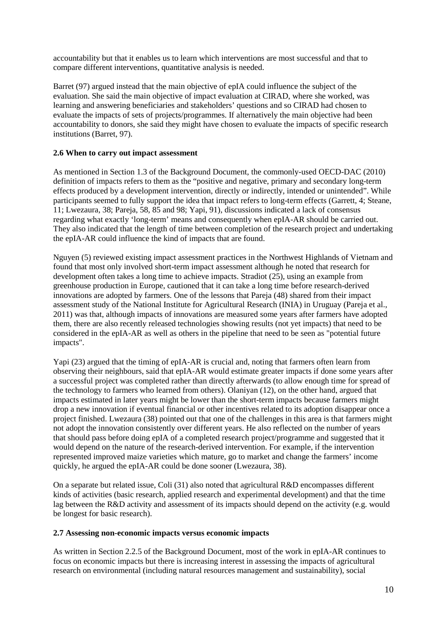accountability but that it enables us to learn which interventions are most successful and that to compare different interventions, quantitative analysis is needed.

Barret (97) argued instead that the main objective of epIA could influence the subject of the evaluation. She said the main objective of impact evaluation at CIRAD, where she worked, was learning and answering beneficiaries and stakeholders' questions and so CIRAD had chosen to evaluate the impacts of sets of projects/programmes. If alternatively the main objective had been accountability to donors, she said they might have chosen to evaluate the impacts of specific research institutions (Barret, 97).

## **2.6 When to carry out impact assessment**

As mentioned in Section 1.3 of the Background Document, the commonly-used OECD-DAC (2010) definition of impacts refers to them as the "positive and negative, primary and secondary long-term effects produced by a development intervention, directly or indirectly, intended or unintended". While participants seemed to fully support the idea that impact refers to long-term effects (Garrett, 4; Steane, 11; Lwezaura, 38; Pareja, 58, 85 and 98; Yapi, 91), discussions indicated a lack of consensus regarding what exactly 'long-term' means and consequently when epIA-AR should be carried out. They also indicated that the length of time between completion of the research project and undertaking the epIA-AR could influence the kind of impacts that are found.

Nguyen (5) reviewed existing impact assessment practices in the Northwest Highlands of Vietnam and found that most only involved short-term impact assessment although he noted that research for development often takes a long time to achieve impacts. Stradiot (25), using an example from greenhouse production in Europe, cautioned that it can take a long time before research-derived innovations are adopted by farmers. One of the lessons that Pareja (48) shared from their impact assessment study of the National Institute for Agricultural Research (INIA) in Uruguay (Pareja et al., 2011) was that, although impacts of innovations are measured some years after farmers have adopted them, there are also recently released technologies showing results (not yet impacts) that need to be considered in the epIA-AR as well as others in the pipeline that need to be seen as "potential future impacts".

Yapi (23) argued that the timing of epIA-AR is crucial and, noting that farmers often learn from observing their neighbours, said that epIA-AR would estimate greater impacts if done some years after a successful project was completed rather than directly afterwards (to allow enough time for spread of the technology to farmers who learned from others). Olaniyan (12), on the other hand, argued that impacts estimated in later years might be lower than the short-term impacts because farmers might drop a new innovation if eventual financial or other incentives related to its adoption disappear once a project finished. Lwezaura (38) pointed out that one of the challenges in this area is that farmers might not adopt the innovation consistently over different years. He also reflected on the number of years that should pass before doing epIA of a completed research project/programme and suggested that it would depend on the nature of the research-derived intervention. For example, if the intervention represented improved maize varieties which mature, go to market and change the farmers' income quickly, he argued the epIA-AR could be done sooner (Lwezaura, 38).

On a separate but related issue, Coli (31) also noted that agricultural R&D encompasses different kinds of activities (basic research, applied research and experimental development) and that the time lag between the R&D activity and assessment of its impacts should depend on the activity (e.g. would be longest for basic research).

#### **2.7 Assessing non-economic impacts versus economic impacts**

As written in Section 2.2.5 of the Background Document, most of the work in epIA-AR continues to focus on economic impacts but there is increasing interest in assessing the impacts of agricultural research on environmental (including natural resources management and sustainability), social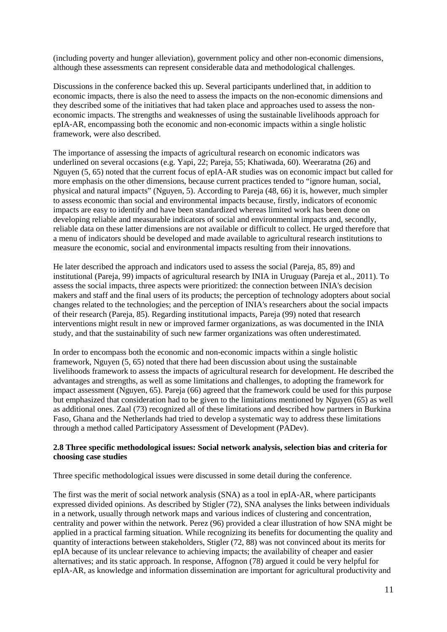(including poverty and hunger alleviation), government policy and other non-economic dimensions, although these assessments can represent considerable data and methodological challenges.

Discussions in the conference backed this up. Several participants underlined that, in addition to economic impacts, there is also the need to assess the impacts on the non-economic dimensions and they described some of the initiatives that had taken place and approaches used to assess the noneconomic impacts. The strengths and weaknesses of using the sustainable livelihoods approach for epIA-AR, encompassing both the economic and non-economic impacts within a single holistic framework, were also described.

The importance of assessing the impacts of agricultural research on economic indicators was underlined on several occasions (e.g. Yapi, 22; Pareja, 55; Khatiwada, 60). Weeraratna (26) and Nguyen (5, 65) noted that the current focus of epIA-AR studies was on economic impact but called for more emphasis on the other dimensions, because current practices tended to "ignore human, social, physical and natural impacts" (Nguyen, 5). According to Pareja (48, 66) it is, however, much simpler to assess economic than social and environmental impacts because, firstly, indicators of economic impacts are easy to identify and have been standardized whereas limited work has been done on developing reliable and measurable indicators of social and environmental impacts and, secondly, reliable data on these latter dimensions are not available or difficult to collect. He urged therefore that a menu of indicators should be developed and made available to agricultural research institutions to measure the economic, social and environmental impacts resulting from their innovations.

He later described the approach and indicators used to assess the social (Pareja, 85, 89) and institutional (Pareja, 99) impacts of agricultural research by INIA in Uruguay (Pareja et al., 2011). To assess the social impacts, three aspects were prioritized: the connection between INIA's decision makers and staff and the final users of its products; the perception of technology adopters about social changes related to the technologies; and the perception of INIA's researchers about the social impacts of their research (Pareja, 85). Regarding institutional impacts, Pareja (99) noted that research interventions might result in new or improved farmer organizations, as was documented in the INIA study, and that the sustainability of such new farmer organizations was often underestimated.

In order to encompass both the economic and non-economic impacts within a single holistic framework, Nguyen (5, 65) noted that there had been discussion about using the sustainable livelihoods framework to assess the impacts of agricultural research for development. He described the advantages and strengths, as well as some limitations and challenges, to adopting the framework for impact assessment (Nguyen, 65). Pareja (66) agreed that the framework could be used for this purpose but emphasized that consideration had to be given to the limitations mentioned by Nguyen (65) as well as additional ones. Zaal (73) recognized all of these limitations and described how partners in Burkina Faso, Ghana and the Netherlands had tried to develop a systematic way to address these limitations through a method called Participatory Assessment of Development (PADev).

## **2.8 Three specific methodological issues: Social network analysis, selection bias and criteria for choosing case studies**

Three specific methodological issues were discussed in some detail during the conference.

The first was the merit of social network analysis (SNA) as a tool in epIA-AR, where participants expressed divided opinions. As described by Stigler (72), SNA analyses the links between individuals in a network, usually through network maps and various indices of clustering and concentration, centrality and power within the network. Perez (96) provided a clear illustration of how SNA might be applied in a practical farming situation. While recognizing its benefits for documenting the quality and quantity of interactions between stakeholders, Stigler (72, 88) was not convinced about its merits for epIA because of its unclear relevance to achieving impacts; the availability of cheaper and easier alternatives; and its static approach. In response, Affognon (78) argued it could be very helpful for epIA-AR, as knowledge and information dissemination are important for agricultural productivity and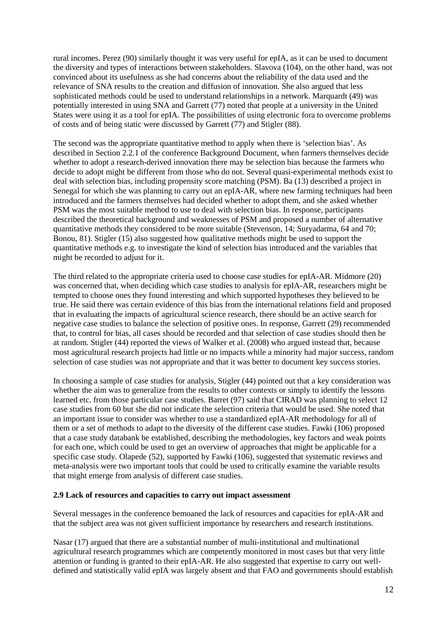rural incomes. Perez (90) similarly thought it was very useful for epIA, as it can be used to document the diversity and types of interactions between stakeholders. Slavova (104), on the other hand, was not convinced about its usefulness as she had concerns about the reliability of the data used and the relevance of SNA results to the creation and diffusion of innovation. She also argued that less sophisticated methods could be used to understand relationships in a network. Marquardt (49) was potentially interested in using SNA and Garrett (77) noted that people at a university in the United States were using it as a tool for epIA. The possibilities of using electronic fora to overcome problems of costs and of being static were discussed by Garrett (77) and Stigler (88).

The second was the appropriate quantitative method to apply when there is 'selection bias'. As described in Section 2.2.1 of the conference Background Document, when farmers themselves decide whether to adopt a research-derived innovation there may be selection bias because the farmers who decide to adopt might be different from those who do not. Several quasi-experimental methods exist to deal with selection bias, including propensity score matching (PSM). Ba (13) described a project in Senegal for which she was planning to carry out an epIA-AR, where new farming techniques had been introduced and the farmers themselves had decided whether to adopt them, and she asked whether PSM was the most suitable method to use to deal with selection bias. In response, participants described the theoretical background and weaknesses of PSM and proposed a number of alternative quantitative methods they considered to be more suitable (Stevenson, 14; Suryadarma, 64 and 70; Bonou, 81). Stigler (15) also suggested how qualitative methods might be used to support the quantitative methods e.g. to investigate the kind of selection bias introduced and the variables that might be recorded to adjust for it.

The third related to the appropriate criteria used to choose case studies for epIA-AR. Midmore (20) was concerned that, when deciding which case studies to analysis for epIA-AR, researchers might be tempted to choose ones they found interesting and which supported hypotheses they believed to be true. He said there was certain evidence of this bias from the international relations field and proposed that in evaluating the impacts of agricultural science research, there should be an active search for negative case studies to balance the selection of positive ones. In response, Garrett (29) recommended that, to control for bias, all cases should be recorded and that selection of case studies should then be at random. Stigler (44) reported the views of Walker et al. (2008) who argued instead that, because most agricultural research projects had little or no impacts while a minority had major success, random selection of case studies was not appropriate and that it was better to document key success stories.

In choosing a sample of case studies for analysis, Stigler (44) pointed out that a key consideration was whether the aim was to generalize from the results to other contexts or simply to identify the lessons learned etc. from those particular case studies. Barret (97) said that CIRAD was planning to select 12 case studies from 60 but she did not indicate the selection criteria that would be used. She noted that an important issue to consider was whether to use a standardized epIA-AR methodology for all of them or a set of methods to adapt to the diversity of the different case studies. Fawki (106) proposed that a case study databank be established, describing the methodologies, key factors and weak points for each one, which could be used to get an overview of approaches that might be applicable for a specific case study. Olapede (52), supported by Fawki (106), suggested that systematic reviews and meta-analysis were two important tools that could be used to critically examine the variable results that might emerge from analysis of different case studies.

#### **2.9 Lack of resources and capacities to carry out impact assessment**

Several messages in the conference bemoaned the lack of resources and capacities for epIA-AR and that the subject area was not given sufficient importance by researchers and research institutions.

Nasar (17) argued that there are a substantial number of multi-institutional and multinational agricultural research programmes which are competently monitored in most cases but that very little attention or funding is granted to their epIA-AR. He also suggested that expertise to carry out welldefined and statistically valid epIA was largely absent and that FAO and governments should establish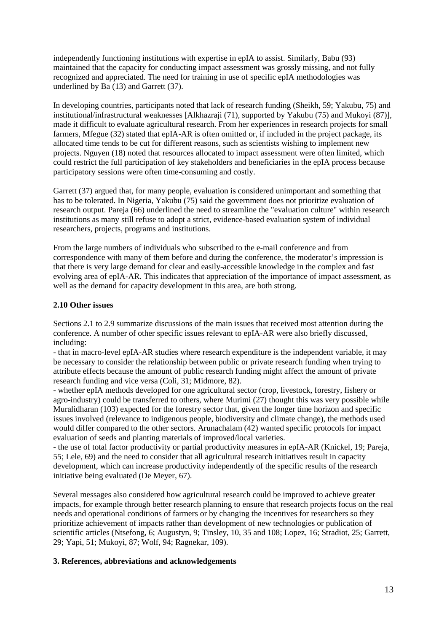independently functioning institutions with expertise in epIA to assist. Similarly, Babu (93) maintained that the capacity for conducting impact assessment was grossly missing, and not fully recognized and appreciated. The need for training in use of specific epIA methodologies was underlined by Ba (13) and Garrett (37).

In developing countries, participants noted that lack of research funding (Sheikh, 59; Yakubu, 75) and institutional/infrastructural weaknesses [Alkhazraji (71), supported by Yakubu (75) and Mukoyi (87)], made it difficult to evaluate agricultural research. From her experiences in research projects for small farmers, Mfegue (32) stated that epIA-AR is often omitted or, if included in the project package, its allocated time tends to be cut for different reasons, such as scientists wishing to implement new projects. Nguyen (18) noted that resources allocated to impact assessment were often limited, which could restrict the full participation of key stakeholders and beneficiaries in the epIA process because participatory sessions were often time-consuming and costly.

Garrett (37) argued that, for many people, evaluation is considered unimportant and something that has to be tolerated. In Nigeria, Yakubu (75) said the government does not prioritize evaluation of research output. Pareja (66) underlined the need to streamline the "evaluation culture" within research institutions as many still refuse to adopt a strict, evidence-based evaluation system of individual researchers, projects, programs and institutions.

From the large numbers of individuals who subscribed to the e-mail conference and from correspondence with many of them before and during the conference, the moderator's impression is that there is very large demand for clear and easily-accessible knowledge in the complex and fast evolving area of epIA-AR. This indicates that appreciation of the importance of impact assessment, as well as the demand for capacity development in this area, are both strong.

# **2.10 Other issues**

Sections 2.1 to 2.9 summarize discussions of the main issues that received most attention during the conference. A number of other specific issues relevant to epIA-AR were also briefly discussed, including:

- that in macro-level epIA-AR studies where research expenditure is the independent variable, it may be necessary to consider the relationship between public or private research funding when trying to attribute effects because the amount of public research funding might affect the amount of private research funding and vice versa (Coli, 31; Midmore, 82).

- whether epIA methods developed for one agricultural sector (crop, livestock, forestry, fishery or agro-industry) could be transferred to others, where Murimi (27) thought this was very possible while Muralidharan (103) expected for the forestry sector that, given the longer time horizon and specific issues involved (relevance to indigenous people, biodiversity and climate change), the methods used would differ compared to the other sectors. Arunachalam (42) wanted specific protocols for impact evaluation of seeds and planting materials of improved/local varieties.

- the use of total factor productivity or partial productivity measures in epIA-AR (Knickel, 19; Pareja, 55; Lele, 69) and the need to consider that all agricultural research initiatives result in capacity development, which can increase productivity independently of the specific results of the research initiative being evaluated (De Meyer, 67).

Several messages also considered how agricultural research could be improved to achieve greater impacts, for example through better research planning to ensure that research projects focus on the real needs and operational conditions of farmers or by changing the incentives for researchers so they prioritize achievement of impacts rather than development of new technologies or publication of scientific articles (Ntsefong, 6; Augustyn, 9; Tinsley, 10, 35 and 108; Lopez, 16; Stradiot, 25; Garrett, 29; Yapi, 51; Mukoyi, 87; Wolf, 94; Ragnekar, 109).

# **3. References, abbreviations and acknowledgements**